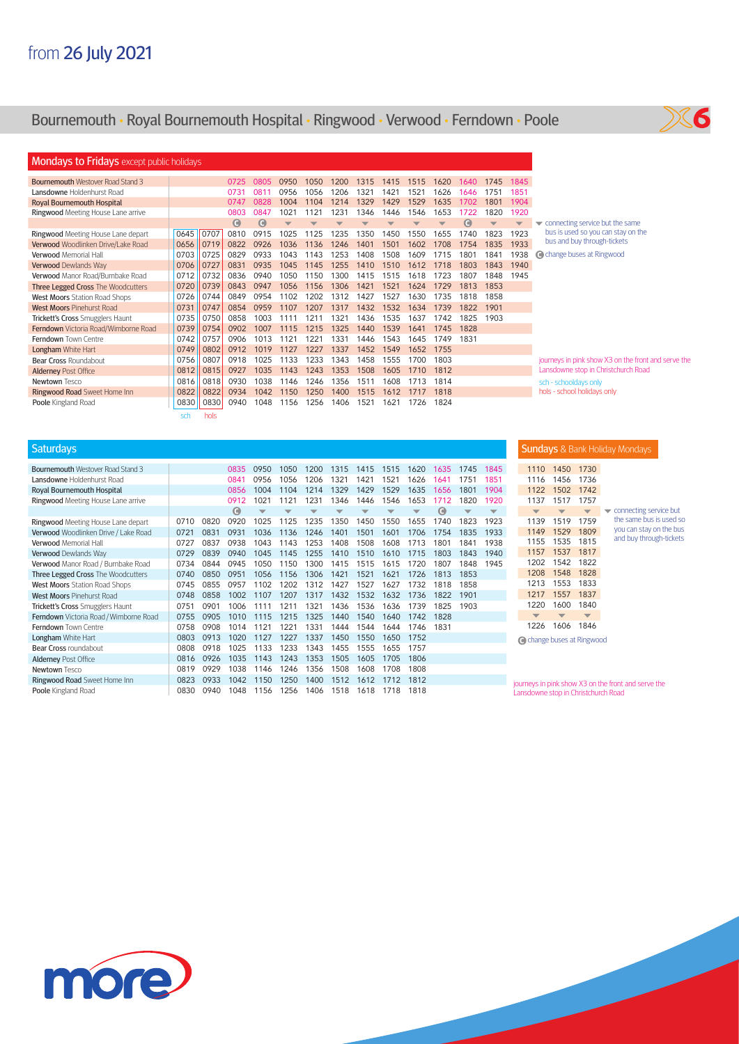## Bournemouth **•** Royal Bournemouth Hospital **•** Ringwood **•** Verwood **•** Ferndown **•** Poole



| <b>Mondays to Fridays</b> except public holidays |          |              |             |             |      |      |      |      |      |      |      |      |      |                         |                                                     |
|--------------------------------------------------|----------|--------------|-------------|-------------|------|------|------|------|------|------|------|------|------|-------------------------|-----------------------------------------------------|
| <b>Bournemouth Westover Road Stand 3</b>         |          |              | 0725        | 0805        | 0950 | 1050 | 1200 | 1315 | 1415 | 1515 | 1620 | 1640 | 1745 | 1845                    |                                                     |
| <b>Lansdowne Holdenhurst Road</b>                |          |              | 0731        | 081         | 0956 | 1056 | 1206 | 1321 | 1421 | 1521 | 1626 | 646  | 1751 | 1851                    |                                                     |
| <b>Royal Bournemouth Hospital</b>                |          |              | 0747        | 0828        | 1004 | 1104 | 1214 | 1329 | 1429 | 1529 | 1635 | 1702 | 1801 | 1904                    |                                                     |
| Ringwood Meeting House Lane arrive               |          |              | 0803        | 0847        | 102' | 1121 | 1231 | 346  | 1446 | 1546 | 1653 | 1722 | 1820 | 1920                    |                                                     |
|                                                  |          |              | $\mathbf C$ | $\mathbf C$ |      |      |      |      |      |      |      | a    |      | $\overline{\mathbf{v}}$ | connecting service but the same                     |
| Ringwood Meeting House Lane depart               | 0645     | 0707         | 0810        | 0915        | 1025 | 1125 | 1235 | 1350 | 1450 | 1550 | 1655 | 1740 | 1823 | 1923                    | bus is used so you can stay on the                  |
| Verwood Woodlinken Drive/Lake Road               | 0656     | 0719         | 0822        | 0926        | 1036 | 1136 | 1246 | 1401 | 1501 | 1602 | 1708 | 754  | 1835 | 1933                    | bus and buy through-tickets                         |
| <b>Verwood Memorial Hall</b>                     | 0703     | 0725         | 0829        | 0933        | 1043 | 1143 | 1253 | 1408 | 1508 | 1609 | 1715 | 1801 | 1841 | 1938                    | Co change buses at Ringwood                         |
| Verwood Dewlands Way                             | 0706     | 0727         | 0831        | 0935        | 1045 | 1145 | 1255 | 1410 | 1510 | 1612 | 1718 | 1803 | 1843 | 1940                    |                                                     |
| Verwood Manor Road/Burnbake Road                 | 0712     | 0732         | 0836        | 0940        | 1050 | 150  | 1300 | 1415 | 1515 | 1618 | 1723 | 1807 | 1848 | 1945                    |                                                     |
| Three Legged Cross The Woodcutters               | 0720     | 0739         | 0843        | 0947        | 1056 | 1156 | 1306 | 1421 | 1521 | 1624 | 1729 | 1813 | 1853 |                         |                                                     |
| <b>West Moors Station Road Shops</b>             | 0726     | 0744         | 0849        | 0954        | 1102 | 1202 | 1312 | 1427 | 1527 | 1630 | 1735 | 1818 | 1858 |                         |                                                     |
| <b>West Moors Pinehurst Road</b>                 | 0731     | 0747         | 0854        | 0959        | 1107 | 1207 | 1317 | 1432 | 1532 | 1634 | 1739 | 1822 | 1901 |                         |                                                     |
| Trickett's Cross Smugglers Haunt                 | 0735     | 0750         | 0858        | 1003        |      | 121  | 132  | 1436 | 1535 | 1637 | 1742 | 1825 | 1903 |                         |                                                     |
| Ferndown Victoria Road/Wimborne Road             | 0739     | 0754         | 0902        | 1007        | 1115 | 1215 | 1325 | 1440 | 1539 | 1641 | 1745 | 1828 |      |                         |                                                     |
| Ferndown Town Centre                             | 0742     | 0757         | 0906        | 1013        | 1121 | 122  | 133  | 1446 | 1543 | 1645 | 1749 | 1831 |      |                         |                                                     |
| <b>Longham White Hart</b>                        | 0749     | 0802         | 0912        | 1019        | 1127 | 1227 | 1337 | 1452 | 1549 | 1652 | 1755 |      |      |                         |                                                     |
| Bear Cross Roundabout                            | 0756     | 0807         | 0918        | 1025        | 1133 | 1233 | 1343 | 1458 | 1555 | 1700 | 1803 |      |      |                         | journeys in pink show X3 on the front and serve the |
| <b>Alderney Post Office</b>                      | 0812     | 0815         | 0927        | 1035        | 1143 | 1243 | 1353 | 1508 | 1605 | 1710 | 1812 |      |      |                         | Lansdowne stop in Christchurch Road                 |
| Newtown Tesco                                    | 0816     | 0818         | 0930        | 1038        | 1146 | 1246 | 1356 | 1511 | 1608 | 1713 | 1814 |      |      |                         | sch - schooldays only                               |
| Ringwood Road Sweet Home Inn                     | 0822     | 0822         | 0934        | 1042        | 1150 | 1250 | 1400 | 1515 | 1612 | 1717 | 1818 |      |      |                         | hols - school holidays only                         |
| Poole Kingland Road                              | 0830     | 0830         | 0940        | 1048        | 1156 | 1256 | 1406 | 1521 | 1621 | 1726 | 1824 |      |      |                         |                                                     |
|                                                  | المستحدث | المراجع وبال |             |             |      |      |      |      |      |      |      |      |      |                         |                                                     |

sch hols

| 1620<br>0835<br>0950<br>1050<br>1200<br>1315<br>1415<br>1515<br>1635<br>1745<br>1845<br>1321<br>1421<br>1521<br>1626<br>0956<br>1056<br>1206<br>1851<br>0841<br>1641<br>1751<br>1004<br>1214<br>1329<br>1429<br>1529<br>1635<br>0856<br>1104<br>1656<br>1801<br>1904<br>1021<br>1121<br>1231<br>1346<br>1546<br>1653<br>0912<br>1446<br>1712<br>1820<br>1920<br>$\bullet$<br>$\mathbf \Theta$<br>$\overline{\phantom{0}}$<br>▼<br>▼<br>▼<br>$\overline{\phantom{a}}$<br>▼<br>┳<br>▼<br>▼<br>0920<br>0820<br>1025<br>1125<br>1235<br>1350<br>1450<br>1550<br>1655<br>1740<br>1823<br>0710<br>1923<br>0721<br>0831<br>0931<br>1036<br>1136<br>1246<br>1401<br>1501<br>1601<br>1706<br>1754<br>1835<br>1933<br>0938<br>1043<br>1508<br>1801<br>1938<br>0727<br>0837<br>1143<br>1253<br>1408<br>1608<br>1713<br>1841<br>0729<br>0839<br>0940<br>1045<br>1255<br>1510<br>1715<br>1803<br>1940<br>1145<br>1410<br>1610<br>1843<br>0734<br>0844<br>0945<br>1050<br>1150<br>1300<br>1415<br>1515<br>1615<br>1720<br>1807<br>1848<br>1945<br>0850<br>0951<br>1306<br>1421<br>1621<br>1056<br>1156<br>1521<br>1726<br>1813<br>1853<br>0740<br>0957<br>1102<br>1427<br>1527<br>1627<br>0745<br>0855<br>1202<br>1312<br>1732<br>1818<br>1858<br>0858<br>1002<br>1207<br>1432<br>1532<br>1632<br>1736<br>1901<br>1107<br>1317<br>1822<br>0748<br>1211<br>1436<br>0901<br>1006<br>1321<br>1536<br>1636<br>1739<br>1825<br>1903<br>0751<br>1111<br>0905<br>1010<br>1215<br>1325<br>1540<br>1828<br>0755<br>1115<br>1440<br>1640<br>1742<br>0758<br>0908<br>1121<br>1221<br>1331<br>1544<br>1644<br>1746<br>1831<br>1014<br>1444<br>0803<br>0913<br>1020<br>1127<br>1227<br>1337<br>1450<br>1550<br>1650<br>1752<br>0918<br>1025<br>1133<br>1233<br>1343<br>1555<br>0808<br>1455<br>1655<br>1757<br>0926<br>1035<br>1143<br>1243<br>1353<br>1505<br>1806<br>1605<br>1705<br>0816<br>1038<br>0929<br>1246<br>1356<br>1508<br>1608<br>1708<br>1808<br>0819<br>1146<br>1250<br>0933<br>1042<br>1150<br>1400<br>1512<br>1812<br>0823<br>1612<br>1712 | <b>Saturdays</b>                         |  |  |  |  |  |  |  |
|----------------------------------------------------------------------------------------------------------------------------------------------------------------------------------------------------------------------------------------------------------------------------------------------------------------------------------------------------------------------------------------------------------------------------------------------------------------------------------------------------------------------------------------------------------------------------------------------------------------------------------------------------------------------------------------------------------------------------------------------------------------------------------------------------------------------------------------------------------------------------------------------------------------------------------------------------------------------------------------------------------------------------------------------------------------------------------------------------------------------------------------------------------------------------------------------------------------------------------------------------------------------------------------------------------------------------------------------------------------------------------------------------------------------------------------------------------------------------------------------------------------------------------------------------------------------------------------------------------------------------------------------------------------------------------------------------------------------------------------------------------------------------------------------------------------------------------------------------------------------------------------------------------------------------------------------------------------------------------------------------------------------------------|------------------------------------------|--|--|--|--|--|--|--|
|                                                                                                                                                                                                                                                                                                                                                                                                                                                                                                                                                                                                                                                                                                                                                                                                                                                                                                                                                                                                                                                                                                                                                                                                                                                                                                                                                                                                                                                                                                                                                                                                                                                                                                                                                                                                                                                                                                                                                                                                                                  | <b>Bournemouth Westover Road Stand 3</b> |  |  |  |  |  |  |  |
|                                                                                                                                                                                                                                                                                                                                                                                                                                                                                                                                                                                                                                                                                                                                                                                                                                                                                                                                                                                                                                                                                                                                                                                                                                                                                                                                                                                                                                                                                                                                                                                                                                                                                                                                                                                                                                                                                                                                                                                                                                  | Lansdowne Holdenhurst Road               |  |  |  |  |  |  |  |
|                                                                                                                                                                                                                                                                                                                                                                                                                                                                                                                                                                                                                                                                                                                                                                                                                                                                                                                                                                                                                                                                                                                                                                                                                                                                                                                                                                                                                                                                                                                                                                                                                                                                                                                                                                                                                                                                                                                                                                                                                                  | Royal Bournemouth Hospital               |  |  |  |  |  |  |  |
|                                                                                                                                                                                                                                                                                                                                                                                                                                                                                                                                                                                                                                                                                                                                                                                                                                                                                                                                                                                                                                                                                                                                                                                                                                                                                                                                                                                                                                                                                                                                                                                                                                                                                                                                                                                                                                                                                                                                                                                                                                  | Ringwood Meeting House Lane arrive       |  |  |  |  |  |  |  |
|                                                                                                                                                                                                                                                                                                                                                                                                                                                                                                                                                                                                                                                                                                                                                                                                                                                                                                                                                                                                                                                                                                                                                                                                                                                                                                                                                                                                                                                                                                                                                                                                                                                                                                                                                                                                                                                                                                                                                                                                                                  |                                          |  |  |  |  |  |  |  |
|                                                                                                                                                                                                                                                                                                                                                                                                                                                                                                                                                                                                                                                                                                                                                                                                                                                                                                                                                                                                                                                                                                                                                                                                                                                                                                                                                                                                                                                                                                                                                                                                                                                                                                                                                                                                                                                                                                                                                                                                                                  | Ringwood Meeting House Lane depart       |  |  |  |  |  |  |  |
|                                                                                                                                                                                                                                                                                                                                                                                                                                                                                                                                                                                                                                                                                                                                                                                                                                                                                                                                                                                                                                                                                                                                                                                                                                                                                                                                                                                                                                                                                                                                                                                                                                                                                                                                                                                                                                                                                                                                                                                                                                  | Verwood Woodlinken Drive / Lake Road     |  |  |  |  |  |  |  |
|                                                                                                                                                                                                                                                                                                                                                                                                                                                                                                                                                                                                                                                                                                                                                                                                                                                                                                                                                                                                                                                                                                                                                                                                                                                                                                                                                                                                                                                                                                                                                                                                                                                                                                                                                                                                                                                                                                                                                                                                                                  | <b>Verwood Memorial Hall</b>             |  |  |  |  |  |  |  |
|                                                                                                                                                                                                                                                                                                                                                                                                                                                                                                                                                                                                                                                                                                                                                                                                                                                                                                                                                                                                                                                                                                                                                                                                                                                                                                                                                                                                                                                                                                                                                                                                                                                                                                                                                                                                                                                                                                                                                                                                                                  | Verwood Dewlands Way                     |  |  |  |  |  |  |  |
|                                                                                                                                                                                                                                                                                                                                                                                                                                                                                                                                                                                                                                                                                                                                                                                                                                                                                                                                                                                                                                                                                                                                                                                                                                                                                                                                                                                                                                                                                                                                                                                                                                                                                                                                                                                                                                                                                                                                                                                                                                  | Verwood Manor Road / Burnbake Road       |  |  |  |  |  |  |  |
|                                                                                                                                                                                                                                                                                                                                                                                                                                                                                                                                                                                                                                                                                                                                                                                                                                                                                                                                                                                                                                                                                                                                                                                                                                                                                                                                                                                                                                                                                                                                                                                                                                                                                                                                                                                                                                                                                                                                                                                                                                  | Three Legged Cross The Woodcutters       |  |  |  |  |  |  |  |
|                                                                                                                                                                                                                                                                                                                                                                                                                                                                                                                                                                                                                                                                                                                                                                                                                                                                                                                                                                                                                                                                                                                                                                                                                                                                                                                                                                                                                                                                                                                                                                                                                                                                                                                                                                                                                                                                                                                                                                                                                                  | <b>West Moors Station Road Shops</b>     |  |  |  |  |  |  |  |
|                                                                                                                                                                                                                                                                                                                                                                                                                                                                                                                                                                                                                                                                                                                                                                                                                                                                                                                                                                                                                                                                                                                                                                                                                                                                                                                                                                                                                                                                                                                                                                                                                                                                                                                                                                                                                                                                                                                                                                                                                                  | <b>West Moors Pinehurst Road</b>         |  |  |  |  |  |  |  |
|                                                                                                                                                                                                                                                                                                                                                                                                                                                                                                                                                                                                                                                                                                                                                                                                                                                                                                                                                                                                                                                                                                                                                                                                                                                                                                                                                                                                                                                                                                                                                                                                                                                                                                                                                                                                                                                                                                                                                                                                                                  | Trickett's Cross Smugglers Haunt         |  |  |  |  |  |  |  |
|                                                                                                                                                                                                                                                                                                                                                                                                                                                                                                                                                                                                                                                                                                                                                                                                                                                                                                                                                                                                                                                                                                                                                                                                                                                                                                                                                                                                                                                                                                                                                                                                                                                                                                                                                                                                                                                                                                                                                                                                                                  | Ferndown Victoria Road / Wimborne Road   |  |  |  |  |  |  |  |
|                                                                                                                                                                                                                                                                                                                                                                                                                                                                                                                                                                                                                                                                                                                                                                                                                                                                                                                                                                                                                                                                                                                                                                                                                                                                                                                                                                                                                                                                                                                                                                                                                                                                                                                                                                                                                                                                                                                                                                                                                                  | Ferndown Town Centre                     |  |  |  |  |  |  |  |
|                                                                                                                                                                                                                                                                                                                                                                                                                                                                                                                                                                                                                                                                                                                                                                                                                                                                                                                                                                                                                                                                                                                                                                                                                                                                                                                                                                                                                                                                                                                                                                                                                                                                                                                                                                                                                                                                                                                                                                                                                                  | <b>Longham White Hart</b>                |  |  |  |  |  |  |  |
|                                                                                                                                                                                                                                                                                                                                                                                                                                                                                                                                                                                                                                                                                                                                                                                                                                                                                                                                                                                                                                                                                                                                                                                                                                                                                                                                                                                                                                                                                                                                                                                                                                                                                                                                                                                                                                                                                                                                                                                                                                  | Bear Cross roundabout                    |  |  |  |  |  |  |  |
|                                                                                                                                                                                                                                                                                                                                                                                                                                                                                                                                                                                                                                                                                                                                                                                                                                                                                                                                                                                                                                                                                                                                                                                                                                                                                                                                                                                                                                                                                                                                                                                                                                                                                                                                                                                                                                                                                                                                                                                                                                  | <b>Alderney Post Office</b>              |  |  |  |  |  |  |  |
|                                                                                                                                                                                                                                                                                                                                                                                                                                                                                                                                                                                                                                                                                                                                                                                                                                                                                                                                                                                                                                                                                                                                                                                                                                                                                                                                                                                                                                                                                                                                                                                                                                                                                                                                                                                                                                                                                                                                                                                                                                  | Newtown Tesco                            |  |  |  |  |  |  |  |
|                                                                                                                                                                                                                                                                                                                                                                                                                                                                                                                                                                                                                                                                                                                                                                                                                                                                                                                                                                                                                                                                                                                                                                                                                                                                                                                                                                                                                                                                                                                                                                                                                                                                                                                                                                                                                                                                                                                                                                                                                                  | Ringwood Road Sweet Home Inn             |  |  |  |  |  |  |  |
| 0830<br>0940<br>1048<br>1156<br>1256<br>1406<br>1518<br>1618<br>1818<br>1718                                                                                                                                                                                                                                                                                                                                                                                                                                                                                                                                                                                                                                                                                                                                                                                                                                                                                                                                                                                                                                                                                                                                                                                                                                                                                                                                                                                                                                                                                                                                                                                                                                                                                                                                                                                                                                                                                                                                                     | Poole Kingland Road                      |  |  |  |  |  |  |  |

**Sundays** & Bank Holiday Mondays

| 1450 | 1730 |
|------|------|
| 1456 | 1736 |
| 1502 | 1742 |
| 1517 | 1757 |
|      |      |
| 1519 | 1759 |
| 1529 | 1809 |
| 1535 | 1815 |
| 1537 | 1817 |
| 1542 | 1822 |
| 1548 | 1828 |
| 1553 | 1833 |
| 1557 | 1837 |
| 1600 | 1840 |
|      |      |

1226 1606 1846 change buses at Ringwood

journeys in pink show X3 on the front and serve the Lansdowne stop in Christchurch Road